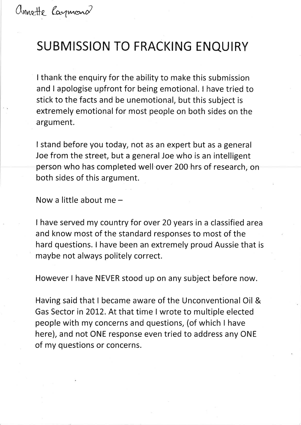## SUBMISSION TO FRACKING ENQUIRY

<sup>I</sup>thank the enquiry for the ability to make this submission and I apologise upfront for being emotional. I have tried to stick to the facts and be unemotional, but this subject is extremely emotional for most people on both sides on the argument.

I stand before you today, not as an expert but as a general Joe from the street, but a general Joe who is an intelligent person who has completed well over 2O0 hrs of research, on both sides of this argument.

Now a little about me  $-$ 

I have served my country for over 20 years in a classified area and know most of the standard responses to most of the hard questions. I have been an extremely proud Aussie that is maybe not always politely correct.

However I have NEVER stood up on any subject before now.

Having said that I became aware of the Unconventional Oil & Gas Sector in 2012. At that time I wrote to multiple elected people with my concerns and questions, (of which I have here), and not ONE response even tried to address any ONE of my questions or concerns.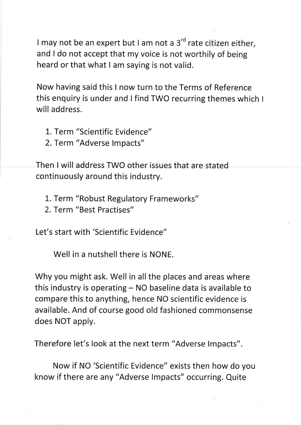I may not be an expert but I am not a  $3<sup>rd</sup>$  rate citizen either, and I do not accept that my voice is not worthily of being heard or that what I am saying is not valid.

Now having said this I now turn to the Terms of Reference this enquiry is under and lfind TWo recurring themes which <sup>I</sup> will address.

- 1. Term "Scientific Evidence"
- 2. Term "Adverse lmpacts"

Then I will address TWO other issues that are stated continuously around this industry.

- L. Term "Robust Regulatory Frameworks"
- 2. Term "Best Practises"

Let's start with 'Scientific Evidence"

Well in a nutshell there is NONE.

Why you might ask. Well in all the places and areas where this industry is operating  $-$  NO baseline data is available to compare this to anything, hence NO scientific evidence is available. And of course good old fashioned commonsense does NOT apply.

Therefore let's look at the next term "Adverse Impacts".

Now if NO 'Scientific Evidence" exists then how do you know if there are any "Adverse lmpacts" occurring. Quite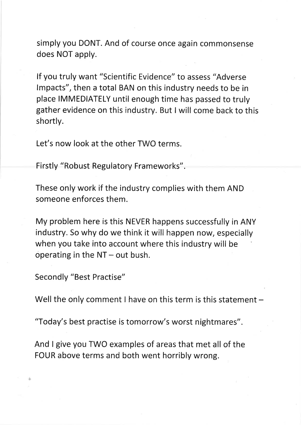simply you DONT. And of course once again commonsense does NOT apply.

lf you truly want "scientific Evidence" to assess "Adverse lmpacts", then a total BAN on this industry needs to be in place IMMEDIATELY until enough time has passed to truly gather evidence on this industry. But I will come back to this shortly.

Let's now look at the other TWO terms.

Firstly "Robust Regulatory Frameworks".

These only work if the industry complies with them AND someone enforces them.

My problem here is this NEVER happens successfully in ANY índustry. So why do we think it will happen now, especially when you take into account where this industry will be operating in the  $NT - out$  bush.

Secondly "Best Practise"

t

Well the only comment I have on this term is this statement  $-$ 

"Today's best practise is tomorrow's worst nightmares".

And I give you TWO examples of areas that met all of the FOUR above terms and both went horribly wrong.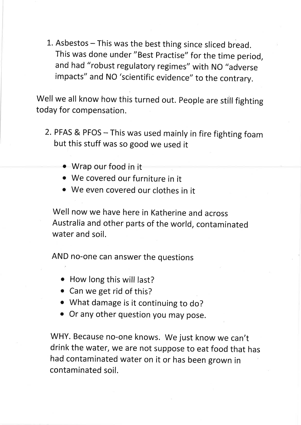1. Asbestos - This was the best thing since sliced bread. This was done under "Best practise" for the time period, and had "robust regulatory regimes" with NO "adverse impacts" and NO 'scientific evidence" to the contrary.

Well we all know how this turned out. People are still fighting today for compensation.

- 2. PFAS & PFos This was used mainly in fire fighting foam but this stuff was so good we used it
	- o Wrap our food in it
	- . We covered our furniture in it
	- o We even covered our clothes in it

Well now we have here in Katherine and across Australia and other parts of the world, contamínated water and soil.

AND no-one can answer the questions

- How long this will last?
- Can we get rid of this?
- o What damage is it continuing to do?
- o Or any other question you may pose.

WHY. Because no-one knows. We just know we can't drink the water, we are not suppose to eat food that has had contaminated water on it or has been grown in contaminated soil.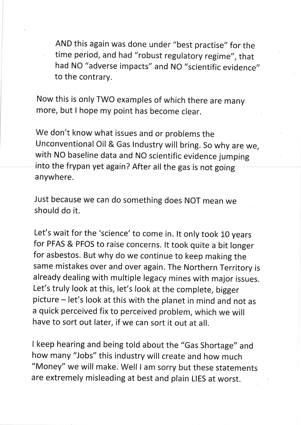AND this again was done under "best practise" for the time period, and had "robust regulatory regime", that had NO "adverse impacts" and NO "scientific evidence" to the contrary.

Now this is only TWo examples of which there are many more, but I hope my point has become clear.

We don't know what issues and or problems the Unconventional Oil & Gas Industry will bring. So why are we, with NO baseline data and NO scientific evidence jumping into the frypan yet again? After all the gas is not going anywhere.

Just because we can do something does NOT mean we should do ít.

Let's wait for the 'science' to come in. It only took 10 years for PFAS & PFOS to raise concerns. lt took quite a bit longer for asbestos. But why do we continue to keep making the same mistakes over and over again. The Northern Territory is already dealing with multiple legacy mines with major issues. Let's truly look at this, let's look at the complete, bigger picture - let's look at this with the planet in mind and not as a quick perceived fix to perceived problem, which we will have to sort out later, if we can sort it out at all.

I keep hearing and being told about the "Gas shortage" and how many "Jobs" this industry will create and how much "Money" we will make. well I am sorry but these statements are extremely misleading at best and plain LIES at worst.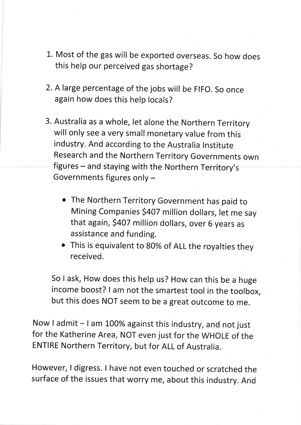- L. Most of the gas will be exported overseas. so how does this help our perceived gas shortage?
- 2. A large percentage of the jobs will be FIFO. So once again how does this help locals?
- 3. Australia as a whole, let alone the Northern Territory will only see a very small monetary value from this industry. And according to the Australia lnstitute Research and the Northern Territory Governments own figures - and staying with the Northern Territory's Governments figures only
	- o The Northern Territory Government has paid to Mining Companies \$407 million dollars, let me say that again, \$407 million dollars, over 6 years as assistance and funding.
	- This is equivalent to 80% of ALL the royalties they received.

So I ask, How does this help us? How can this be a huge íncome boost? I am not the smartest tool in the toolbox, but this does NOT seem to be a great outcome to me.

Now I admit - I am 100% against this industry, and not just for the Katherine Area, NOT even just for the WHOLE of the ENTIRE Northern Territory, but for ALL of Australia.

However, I digress. I have not even touched or scratched the surface of the issues that worry me, about this industry. And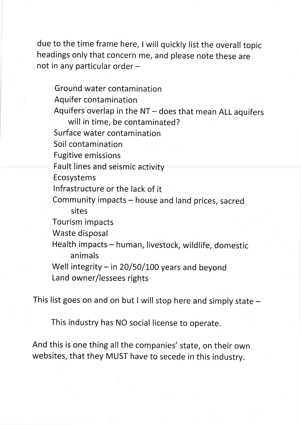due to the time frame here, I will quickly list the overall topic headings only that concern me, and please note these are not in any particular order -

Ground water contamination Aquifer contamination Aquifers overlap in the  $NT -$  does that mean ALL aquifers will in time, be contaminated? Surface water contamínation Soil contamination Fugitive em issions Fault lines and seismic activity Ecosystems lnfrastructure or the lack of it Community impacts - house and land prices, sacred sites Tourism impacts Waste disposal Health impacts - human, livestock, wildlife, domestic animals Well integrity  $-$  in 20/50/100 years and beyond Land owner/lessees rights

This list goes on and on but I will stop here and simply state  $-$ 

This industry has NO social license to operate.

And this is one thing all the companies' state, on their own websítes, that they MUST have to secede in this industry.